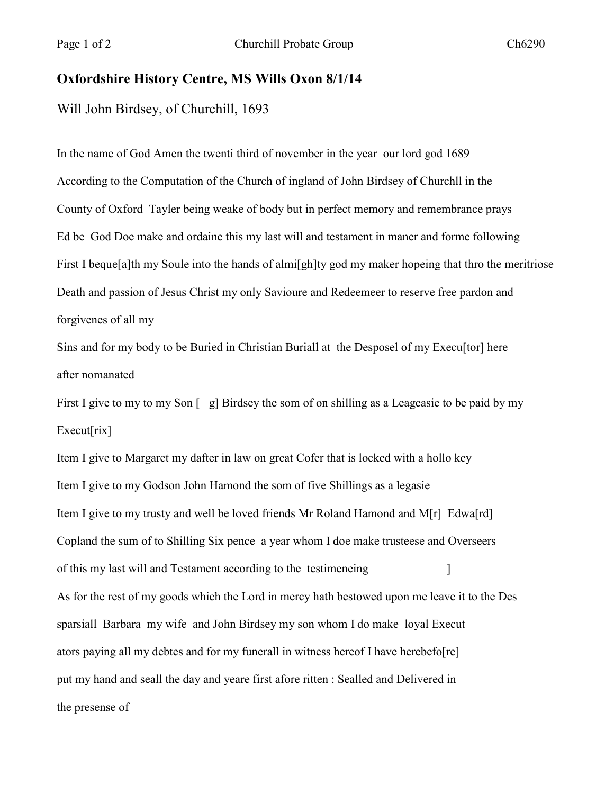## **Oxfordshire History Centre, MS Wills Oxon 8/1/14**

Will John Birdsey, of Churchill, 1693

In the name of God Amen the twenti third of november in the year our lord god 1689 According to the Computation of the Church of ingland of John Birdsey of Churchll in the County of Oxford Tayler being weake of body but in perfect memory and remembrance prays Ed be God Doe make and ordaine this my last will and testament in maner and forme following First I beque[a]th my Soule into the hands of almi[gh]ty god my maker hopeing that thro the meritriose Death and passion of Jesus Christ my only Savioure and Redeemeer to reserve free pardon and forgivenes of all my

Sins and for my body to be Buried in Christian Buriall at the Desposel of my Execu[tor] here after nomanated

First I give to my to my Son  $\lceil g \rceil$  Birdsey the som of on shilling as a Leageasie to be paid by my Execut[rix]

Item I give to Margaret my dafter in law on great Cofer that is locked with a hollo key Item I give to my Godson John Hamond the som of five Shillings as a legasie Item I give to my trusty and well be loved friends Mr Roland Hamond and M[r] Edwa[rd] Copland the sum of to Shilling Six pence a year whom I doe make trusteese and Overseers of this my last will and Testament according to the testimeneing [150] As for the rest of my goods which the Lord in mercy hath bestowed upon me leave it to the Des sparsiall Barbara my wife and John Birdsey my son whom I do make loyal Execut ators paying all my debtes and for my funerall in witness hereof I have herebefo[re] put my hand and seall the day and yeare first afore ritten : Sealled and Delivered in the presense of